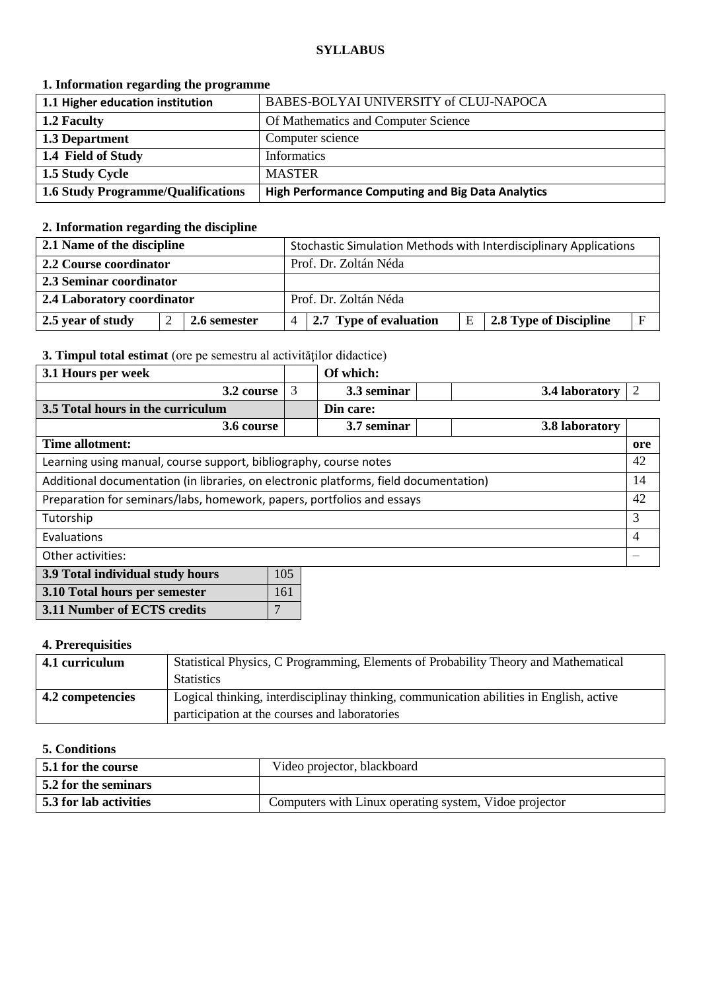### **SYLLABUS**

## **1. Information regarding the programme**

| 1.1 Higher education institution          | BABES-BOLYAI UNIVERSITY of CLUJ-NAPOCA                   |
|-------------------------------------------|----------------------------------------------------------|
| 1.2 Faculty                               | Of Mathematics and Computer Science                      |
| 1.3 Department                            | Computer science                                         |
| 1.4 Field of Study                        | Informatics                                              |
| 1.5 Study Cycle                           | <b>MASTER</b>                                            |
| <b>1.6 Study Programme/Qualifications</b> | <b>High Performance Computing and Big Data Analytics</b> |

# **2. Information regarding the discipline**

| 2.1 Name of the discipline |              |   |                        |   | Stochastic Simulation Methods with Interdisciplinary Applications |
|----------------------------|--------------|---|------------------------|---|-------------------------------------------------------------------|
| 2.2 Course coordinator     |              |   | Prof. Dr. Zoltán Néda  |   |                                                                   |
| 2.3 Seminar coordinator    |              |   |                        |   |                                                                   |
| 2.4 Laboratory coordinator |              |   | Prof. Dr. Zoltán Néda  |   |                                                                   |
| 2.5 year of study          | 2.6 semester | 4 | 2.7 Type of evaluation | E | E<br>2.8 Type of Discipline                                       |

## **3. Timpul total estimat** (ore pe semestru al activităţilor didactice)

| 3.1 Hours per week                                                                    |     | Of which:   |                |     |
|---------------------------------------------------------------------------------------|-----|-------------|----------------|-----|
| 3.2 course                                                                            | 3   | 3.3 seminar | 3.4 laboratory | 2   |
| 3.5 Total hours in the curriculum                                                     |     | Din care:   |                |     |
| 3.6 course                                                                            |     | 3.7 seminar | 3.8 laboratory |     |
| Time allotment:                                                                       |     |             |                | ore |
| Learning using manual, course support, bibliography, course notes                     |     |             | 42             |     |
| Additional documentation (in libraries, on electronic platforms, field documentation) |     |             |                | 14  |
| Preparation for seminars/labs, homework, papers, portfolios and essays                |     |             |                | 42  |
| Tutorship                                                                             |     |             | 3              |     |
| Evaluations                                                                           |     |             | 4              |     |
| Other activities:                                                                     |     |             |                |     |
| 3.9 Total individual study hours                                                      | 105 |             |                |     |
| 3.10 Total hours per semester                                                         | 161 |             |                |     |

| 4. Prerequisities |  |
|-------------------|--|

**3.11 Number of ECTS credits** 7

| 4.1 curriculum   | Statistical Physics, C Programming, Elements of Probability Theory and Mathematical     |  |  |
|------------------|-----------------------------------------------------------------------------------------|--|--|
|                  | <b>Statistics</b>                                                                       |  |  |
| 4.2 competencies | Logical thinking, interdisciplinay thinking, communication abilities in English, active |  |  |
|                  | participation at the courses and laboratories                                           |  |  |

#### **5. Conditions**

| 5.1 for the course     | Video projector, blackboard                            |
|------------------------|--------------------------------------------------------|
| 5.2 for the seminars   |                                                        |
| 5.3 for lab activities | Computers with Linux operating system, Vidoe projector |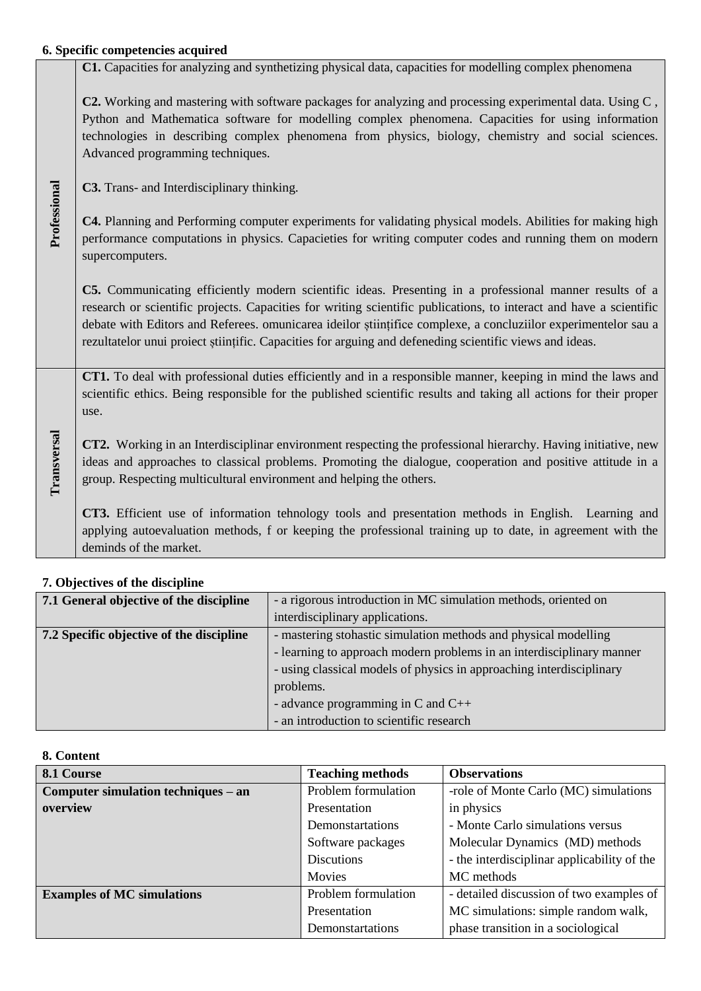## **6. Specific competencies acquired C1.** Capacities for analyzing and synthetizing physical data, capacities for modelling complex phenomena

|              | C2. Working and mastering with software packages for analyzing and processing experimental data. Using C,<br>Python and Mathematica software for modelling complex phenomena. Capacities for using information<br>technologies in describing complex phenomena from physics, biology, chemistry and social sciences.<br>Advanced programming techniques.                                                                                                   |
|--------------|------------------------------------------------------------------------------------------------------------------------------------------------------------------------------------------------------------------------------------------------------------------------------------------------------------------------------------------------------------------------------------------------------------------------------------------------------------|
|              | C3. Trans- and Interdisciplinary thinking.                                                                                                                                                                                                                                                                                                                                                                                                                 |
| Professional | C4. Planning and Performing computer experiments for validating physical models. Abilities for making high<br>performance computations in physics. Capacieties for writing computer codes and running them on modern<br>supercomputers.                                                                                                                                                                                                                    |
|              | C5. Communicating efficiently modern scientific ideas. Presenting in a professional manner results of a<br>research or scientific projects. Capacities for writing scientific publications, to interact and have a scientific<br>debate with Editors and Referees. omunicarea ideilor stiintifice complexe, a concluziilor experimentelor sau a<br>rezultatelor unui proiect științific. Capacities for arguing and defeneding scientific views and ideas. |
|              | CT1. To deal with professional duties efficiently and in a responsible manner, keeping in mind the laws and<br>scientific ethics. Being responsible for the published scientific results and taking all actions for their proper<br>use.                                                                                                                                                                                                                   |
| Transversal  | CT2. Working in an Interdisciplinar environment respecting the professional hierarchy. Having initiative, new<br>ideas and approaches to classical problems. Promoting the dialogue, cooperation and positive attitude in a<br>group. Respecting multicultural environment and helping the others.                                                                                                                                                         |
|              | CT3. Efficient use of information tehnology tools and presentation methods in English. Learning and<br>applying autoevaluation methods, f or keeping the professional training up to date, in agreement with the<br>deminds of the market.                                                                                                                                                                                                                 |

| 7.1 General objective of the discipline  | - a rigorous introduction in MC simulation methods, oriented on       |  |
|------------------------------------------|-----------------------------------------------------------------------|--|
|                                          | interdisciplinary applications.                                       |  |
| 7.2 Specific objective of the discipline | - mastering stohastic simulation methods and physical modelling       |  |
|                                          | - learning to approach modern problems in an interdisciplinary manner |  |
|                                          | - using classical models of physics in approaching interdisciplinary  |  |
|                                          | problems.                                                             |  |
|                                          | - advance programming in C and $C_{++}$                               |  |
|                                          | - an introduction to scientific research                              |  |

# **7. Objectives of the discipline**

## **8. Content**

| 8.1 Course                          | <b>Teaching methods</b> | <b>Observations</b>                         |
|-------------------------------------|-------------------------|---------------------------------------------|
| Computer simulation techniques – an | Problem formulation     | -role of Monte Carlo (MC) simulations       |
| overview                            | Presentation            | in physics                                  |
|                                     | Demonstartations        | - Monte Carlo simulations versus            |
|                                     | Software packages       | Molecular Dynamics (MD) methods             |
|                                     | <b>Discutions</b>       | - the interdisciplinar applicability of the |
|                                     | Movies                  | MC methods                                  |
| <b>Examples of MC simulations</b>   | Problem formulation     | - detailed discussion of two examples of    |
|                                     | Presentation            | MC simulations: simple random walk,         |
|                                     | Demonstartations        | phase transition in a sociological          |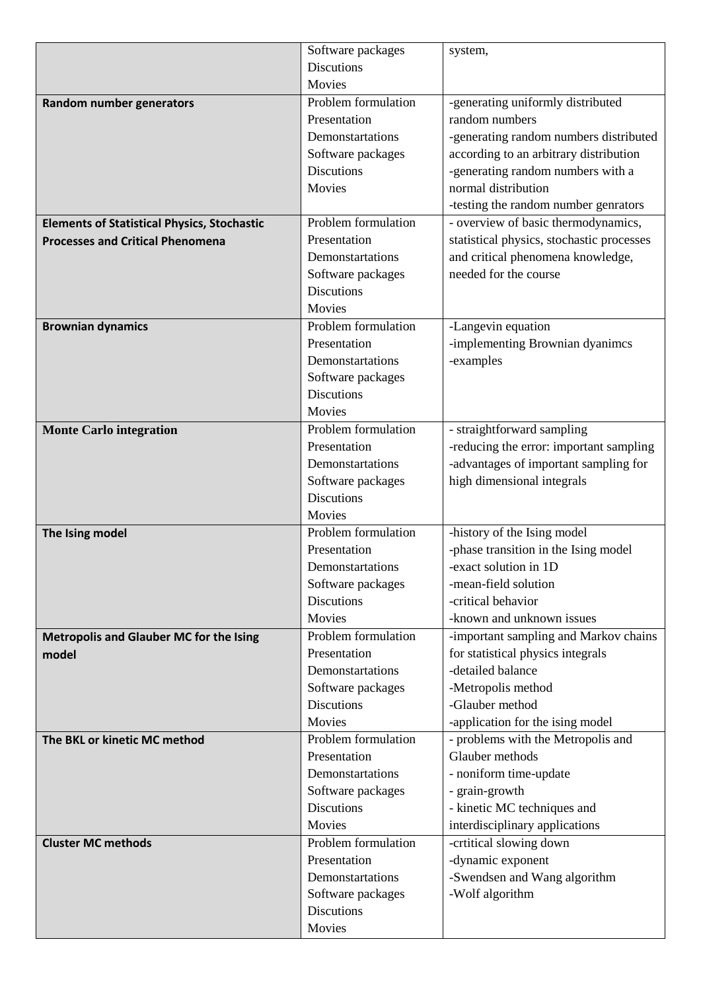|                                                    | Software packages   | system,                                   |
|----------------------------------------------------|---------------------|-------------------------------------------|
|                                                    | <b>Discutions</b>   |                                           |
|                                                    | Movies              |                                           |
| Random number generators                           | Problem formulation | -generating uniformly distributed         |
|                                                    | Presentation        | random numbers                            |
|                                                    | Demonstartations    | -generating random numbers distributed    |
|                                                    | Software packages   | according to an arbitrary distribution    |
|                                                    | <b>Discutions</b>   | -generating random numbers with a         |
|                                                    | Movies              | normal distribution                       |
|                                                    |                     | -testing the random number genrators      |
| <b>Elements of Statistical Physics, Stochastic</b> | Problem formulation | - overview of basic thermodynamics,       |
| <b>Processes and Critical Phenomena</b>            | Presentation        | statistical physics, stochastic processes |
|                                                    | Demonstartations    | and critical phenomena knowledge,         |
|                                                    | Software packages   | needed for the course                     |
|                                                    | <b>Discutions</b>   |                                           |
|                                                    | Movies              |                                           |
| <b>Brownian dynamics</b>                           | Problem formulation | -Langevin equation                        |
|                                                    | Presentation        | -implementing Brownian dyanimcs           |
|                                                    | Demonstartations    | -examples                                 |
|                                                    | Software packages   |                                           |
|                                                    | <b>Discutions</b>   |                                           |
|                                                    | Movies              |                                           |
| <b>Monte Carlo integration</b>                     | Problem formulation | - straightforward sampling                |
|                                                    | Presentation        | -reducing the error: important sampling   |
|                                                    | Demonstartations    | -advantages of important sampling for     |
|                                                    | Software packages   | high dimensional integrals                |
|                                                    | <b>Discutions</b>   |                                           |
|                                                    | Movies              |                                           |
| The Ising model                                    | Problem formulation | -history of the Ising model               |
|                                                    | Presentation        | -phase transition in the Ising model      |
|                                                    | Demonstartations    | -exact solution in 1D                     |
|                                                    | Software packages   | -mean-field solution                      |
|                                                    | <b>Discutions</b>   | -critical behavior                        |
|                                                    | Movies              | -known and unknown issues                 |
| Metropolis and Glauber MC for the Ising            | Problem formulation | -important sampling and Markov chains     |
| model                                              | Presentation        | for statistical physics integrals         |
|                                                    | Demonstartations    | -detailed balance                         |
|                                                    | Software packages   | -Metropolis method                        |
|                                                    | <b>Discutions</b>   | -Glauber method                           |
|                                                    | Movies              | -application for the ising model          |
| The BKL or kinetic MC method                       | Problem formulation | - problems with the Metropolis and        |
|                                                    | Presentation        | Glauber methods                           |
|                                                    | Demonstartations    | - noniform time-update                    |
|                                                    | Software packages   | - grain-growth                            |
|                                                    | <b>Discutions</b>   | - kinetic MC techniques and               |
|                                                    | Movies              | interdisciplinary applications            |
| <b>Cluster MC methods</b>                          | Problem formulation | -crtitical slowing down                   |
|                                                    | Presentation        | -dynamic exponent                         |
|                                                    | Demonstartations    | -Swendsen and Wang algorithm              |
|                                                    | Software packages   | -Wolf algorithm                           |
|                                                    | <b>Discutions</b>   |                                           |
|                                                    | Movies              |                                           |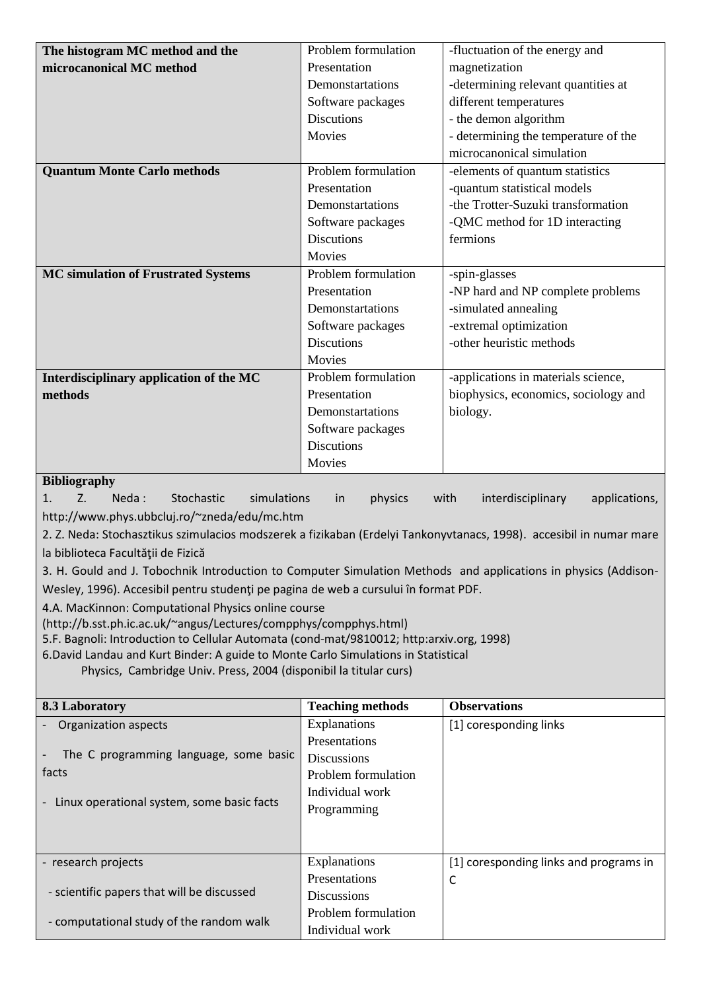| The histogram MC method and the            | Problem formulation | -fluctuation of the energy and       |
|--------------------------------------------|---------------------|--------------------------------------|
| microcanonical MC method                   | Presentation        | magnetization                        |
|                                            | Demonstartations    | -determining relevant quantities at  |
|                                            | Software packages   | different temperatures               |
|                                            | <b>Discutions</b>   | - the demon algorithm                |
|                                            | Movies              | - determining the temperature of the |
|                                            |                     | microcanonical simulation            |
| <b>Quantum Monte Carlo methods</b>         | Problem formulation | -elements of quantum statistics      |
|                                            | Presentation        | -quantum statistical models          |
|                                            | Demonstartations    | -the Trotter-Suzuki transformation   |
|                                            | Software packages   | -QMC method for 1D interacting       |
|                                            | <b>Discutions</b>   | fermions                             |
|                                            | Movies              |                                      |
| <b>MC simulation of Frustrated Systems</b> | Problem formulation | -spin-glasses                        |
|                                            | Presentation        | -NP hard and NP complete problems    |
|                                            | Demonstartations    | -simulated annealing                 |
|                                            | Software packages   | -extremal optimization               |
|                                            | <b>Discutions</b>   | -other heuristic methods             |
|                                            | Movies              |                                      |
| Interdisciplinary application of the MC    | Problem formulation | -applications in materials science,  |
| methods                                    | Presentation        | biophysics, economics, sociology and |
|                                            | Demonstartations    | biology.                             |
|                                            | Software packages   |                                      |
|                                            | <b>Discutions</b>   |                                      |
|                                            | Movies              |                                      |

#### **Bibliography**

1. Z. Neda: Stochastic simulations in physics with interdisciplinary applications, http://www.phys.ubbcluj.ro/~zneda/edu/mc.htm

2. Z. Neda: Stochasztikus szimulacios modszerek a fizikaban (Erdelyi Tankonyvtanacs, 1998). accesibil in numar mare la biblioteca Facultăţii de Fizică

3. H. Gould and J. Tobochnik Introduction to Computer Simulation Methods and applications in physics (Addison-Wesley, 1996). Accesibil pentru studenţi pe pagina de web a cursului în format PDF.

4.A. MacKinnon: Computational Physics online course

(http://b.sst.ph.ic.ac.uk/~angus/Lectures/compphys/compphys.html)

5.F. Bagnoli: Introduction to Cellular Automata (cond-mat/9810012; http:arxiv.org, 1998)

6.David Landau and Kurt Binder: A guide to Monte Carlo Simulations in Statistical

Physics, Cambridge Univ. Press, 2004 (disponibil la titular curs)

| 8.3 Laboratory                             | <b>Teaching methods</b> | <b>Observations</b>                    |
|--------------------------------------------|-------------------------|----------------------------------------|
| Organization aspects                       | Explanations            | [1] coresponding links                 |
|                                            | <b>Presentations</b>    |                                        |
| The C programming language, some basic     | <b>Discussions</b>      |                                        |
| facts                                      | Problem formulation     |                                        |
|                                            | Individual work         |                                        |
| Linux operational system, some basic facts | Programming             |                                        |
|                                            |                         |                                        |
|                                            |                         |                                        |
| - research projects                        | Explanations            | [1] coresponding links and programs in |
|                                            | Presentations           | C                                      |
| - scientific papers that will be discussed | <b>Discussions</b>      |                                        |
|                                            | Problem formulation     |                                        |
| - computational study of the random walk   | Individual work         |                                        |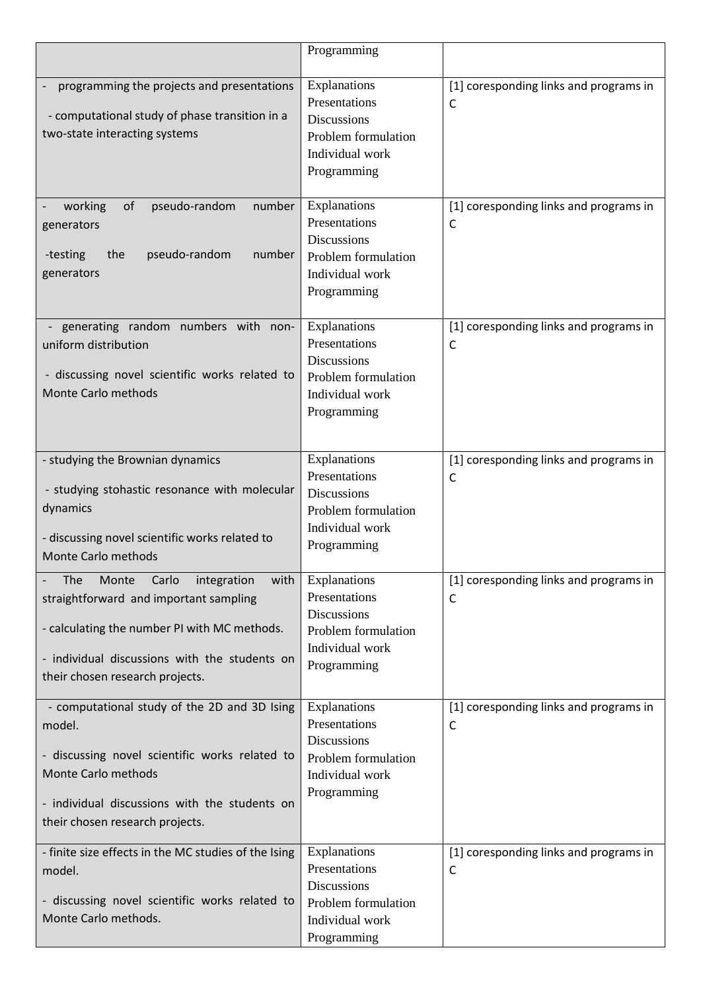|                                                      | Programming                            |                                        |
|------------------------------------------------------|----------------------------------------|----------------------------------------|
|                                                      |                                        |                                        |
| programming the projects and presentations           | Explanations<br>Presentations          | [1] coresponding links and programs in |
| - computational study of phase transition in a       | <b>Discussions</b>                     | C                                      |
| two-state interacting systems                        | Problem formulation                    |                                        |
|                                                      | Individual work                        |                                        |
|                                                      | Programming                            |                                        |
|                                                      |                                        |                                        |
| of<br>pseudo-random<br>working<br>number             | Explanations                           | [1] coresponding links and programs in |
| generators                                           | Presentations                          | $\mathsf C$                            |
|                                                      | <b>Discussions</b>                     |                                        |
| pseudo-random<br>number<br>-testing<br>the           | Problem formulation                    |                                        |
| generators                                           | Individual work                        |                                        |
|                                                      | Programming                            |                                        |
| generating random numbers with non-                  | Explanations                           | [1] coresponding links and programs in |
| uniform distribution                                 | Presentations                          | C                                      |
|                                                      | <b>Discussions</b>                     |                                        |
| - discussing novel scientific works related to       | Problem formulation                    |                                        |
| Monte Carlo methods                                  | Individual work                        |                                        |
|                                                      | Programming                            |                                        |
|                                                      |                                        |                                        |
| - studying the Brownian dynamics                     | Explanations                           | [1] coresponding links and programs in |
|                                                      | Presentations                          | C                                      |
| - studying stohastic resonance with molecular        | <b>Discussions</b>                     |                                        |
| dynamics                                             | Problem formulation                    |                                        |
| - discussing novel scientific works related to       | Individual work                        |                                        |
| Monte Carlo methods                                  | Programming                            |                                        |
| The<br>Carlo<br>integration<br>with<br>Monte         | Explanations                           | [1] coresponding links and programs in |
| straightforward and important sampling               | Presentations                          | C                                      |
|                                                      | Discussions                            |                                        |
| - calculating the number PI with MC methods.         | Problem formulation                    |                                        |
| - individual discussions with the students on        | Individual work                        |                                        |
| their chosen research projects.                      | Programming                            |                                        |
|                                                      |                                        |                                        |
| - computational study of the 2D and 3D Ising         | Explanations                           | [1] coresponding links and programs in |
| model.                                               | Presentations                          | C                                      |
| - discussing novel scientific works related to       | Discussions                            |                                        |
| Monte Carlo methods                                  | Problem formulation<br>Individual work |                                        |
|                                                      | Programming                            |                                        |
| - individual discussions with the students on        |                                        |                                        |
| their chosen research projects.                      |                                        |                                        |
| - finite size effects in the MC studies of the Ising | Explanations                           | [1] coresponding links and programs in |
| model.                                               | Presentations                          | $\mathsf C$                            |
|                                                      | <b>Discussions</b>                     |                                        |
| - discussing novel scientific works related to       | Problem formulation                    |                                        |
| Monte Carlo methods.                                 | Individual work                        |                                        |
|                                                      | Programming                            |                                        |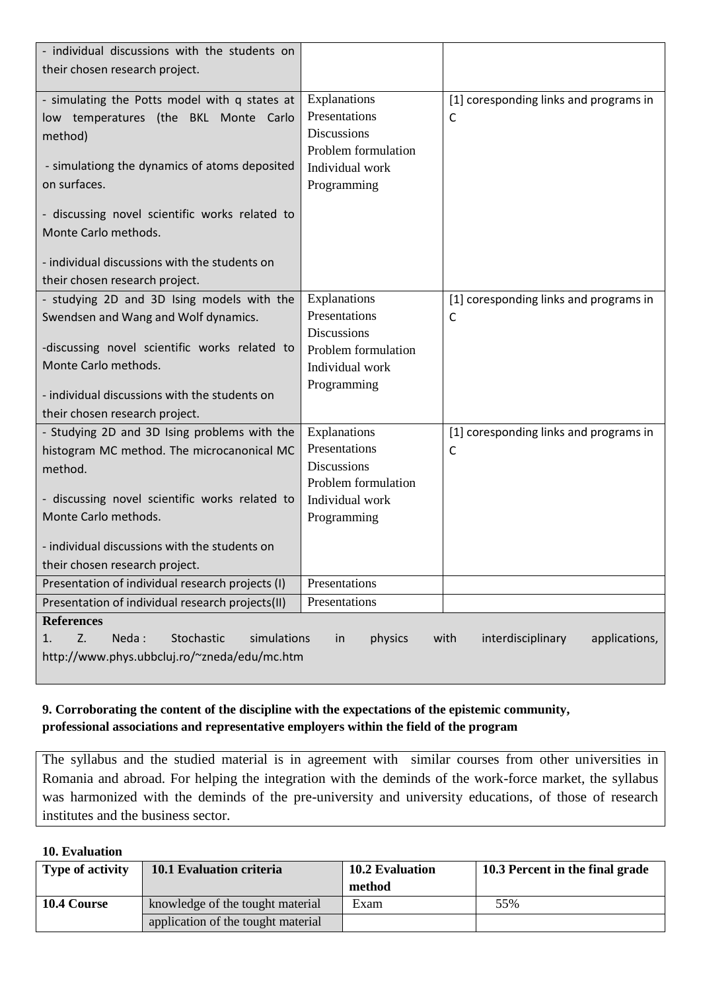| - individual discussions with the students on                                                                                      |                                                     |                                             |  |
|------------------------------------------------------------------------------------------------------------------------------------|-----------------------------------------------------|---------------------------------------------|--|
| their chosen research project.                                                                                                     |                                                     |                                             |  |
| - simulating the Potts model with q states at<br>low temperatures (the BKL Monte Carlo<br>method)                                  | Explanations<br>Presentations<br><b>Discussions</b> | [1] coresponding links and programs in<br>C |  |
|                                                                                                                                    | Problem formulation                                 |                                             |  |
| - simulationg the dynamics of atoms deposited                                                                                      | Individual work                                     |                                             |  |
| on surfaces.                                                                                                                       | Programming                                         |                                             |  |
| - discussing novel scientific works related to                                                                                     |                                                     |                                             |  |
| Monte Carlo methods.                                                                                                               |                                                     |                                             |  |
| - individual discussions with the students on                                                                                      |                                                     |                                             |  |
| their chosen research project.                                                                                                     |                                                     |                                             |  |
| - studying 2D and 3D Ising models with the                                                                                         | Explanations                                        | [1] coresponding links and programs in      |  |
| Swendsen and Wang and Wolf dynamics.                                                                                               | Presentations                                       | C                                           |  |
|                                                                                                                                    | <b>Discussions</b>                                  |                                             |  |
| -discussing novel scientific works related to                                                                                      | Problem formulation                                 |                                             |  |
| Monte Carlo methods.                                                                                                               | Individual work                                     |                                             |  |
| - individual discussions with the students on                                                                                      | Programming                                         |                                             |  |
| their chosen research project.                                                                                                     |                                                     |                                             |  |
| - Studying 2D and 3D Ising problems with the                                                                                       | Explanations                                        | [1] coresponding links and programs in      |  |
| histogram MC method. The microcanonical MC                                                                                         | Presentations                                       | C                                           |  |
| method.                                                                                                                            | <b>Discussions</b>                                  |                                             |  |
| - discussing novel scientific works related to                                                                                     | Problem formulation<br>Individual work              |                                             |  |
| Monte Carlo methods.                                                                                                               | Programming                                         |                                             |  |
|                                                                                                                                    |                                                     |                                             |  |
| - individual discussions with the students on                                                                                      |                                                     |                                             |  |
| their chosen research project.                                                                                                     |                                                     |                                             |  |
| Presentation of individual research projects (I)                                                                                   | Presentations                                       |                                             |  |
| Presentation of individual research projects(II)                                                                                   | Presentations                                       |                                             |  |
| <b>References</b><br>Z.<br>Neda:<br>Stochastic<br>simulations<br>physics<br>with<br>interdisciplinary<br>applications,<br>in<br>1. |                                                     |                                             |  |
| http://www.phys.ubbcluj.ro/~zneda/edu/mc.htm                                                                                       |                                                     |                                             |  |
|                                                                                                                                    |                                                     |                                             |  |

## **9. Corroborating the content of the discipline with the expectations of the epistemic community, professional associations and representative employers within the field of the program**

The syllabus and the studied material is in agreement with similar courses from other universities in Romania and abroad. For helping the integration with the deminds of the work-force market, the syllabus was harmonized with the deminds of the pre-university and university educations, of those of research institutes and the business sector.

### **10. Evaluation**

| <b>Type of activity</b> | 10.1 Evaluation criteria           | <b>10.2 Evaluation</b> | 10.3 Percent in the final grade |
|-------------------------|------------------------------------|------------------------|---------------------------------|
|                         |                                    | method                 |                                 |
| <b>10.4 Course</b>      | knowledge of the tought material   | Exam                   | 55%                             |
|                         | application of the tought material |                        |                                 |